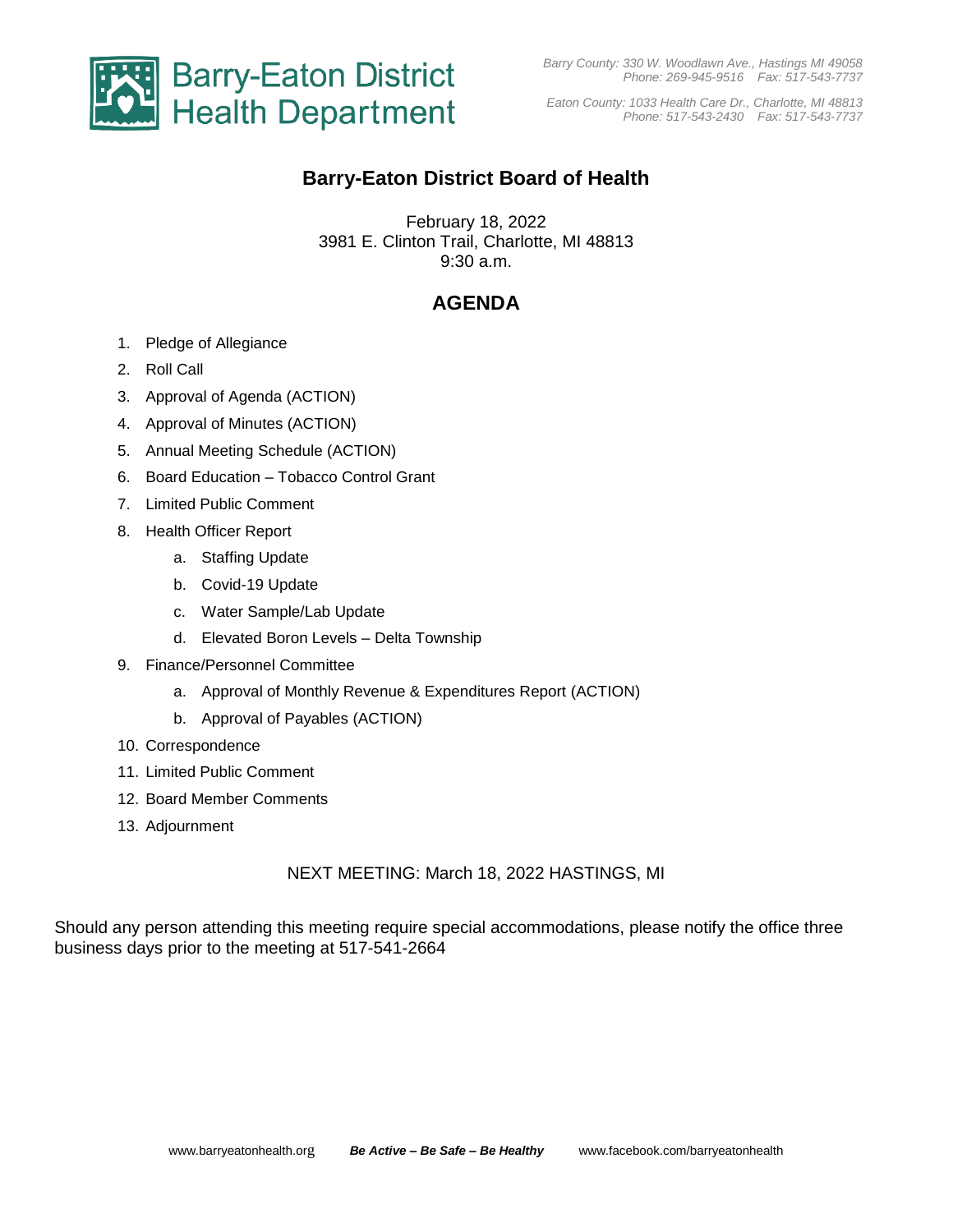

*Barry County: 330 W. Woodlawn Ave., Hastings MI 49058 Phone: 269-945-9516 Fax: 517-543-7737*

*Eaton County: 1033 Health Care Dr., Charlotte, MI 48813 Phone: 517-543-2430 Fax: 517-543-7737*

## **Barry-Eaton District Board of Health**

February 18, 2022 3981 E. Clinton Trail, Charlotte, MI 48813 9:30 a.m.

## **AGENDA**

- 1. Pledge of Allegiance
- 2. Roll Call
- 3. Approval of Agenda (ACTION)
- 4. Approval of Minutes (ACTION)
- 5. Annual Meeting Schedule (ACTION)
- 6. Board Education Tobacco Control Grant
- 7. Limited Public Comment
- 8. Health Officer Report
	- a. Staffing Update
	- b. Covid-19 Update
	- c. Water Sample/Lab Update
	- d. Elevated Boron Levels Delta Township
- 9. Finance/Personnel Committee
	- a. Approval of Monthly Revenue & Expenditures Report (ACTION)
	- b. Approval of Payables (ACTION)
- 10. Correspondence
- 11. Limited Public Comment
- 12. Board Member Comments
- 13. Adjournment

NEXT MEETING: March 18, 2022 HASTINGS, MI

Should any person attending this meeting require special accommodations, please notify the office three business days prior to the meeting at 517-541-2664